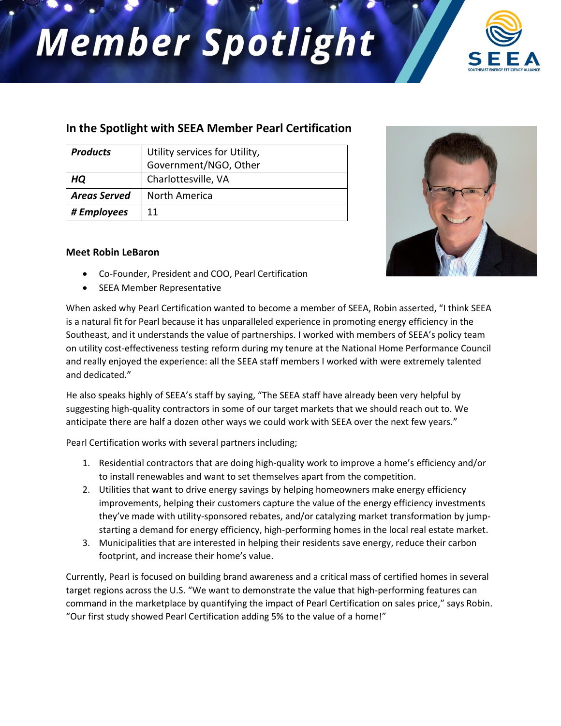## **Member Spotlight**



## **In the Spotlight with SEEA Member Pearl Certification**

| <b>Products</b>     | Utility services for Utility, |
|---------------------|-------------------------------|
|                     | Government/NGO, Other         |
| HQ                  | Charlottesville, VA           |
| <b>Areas Served</b> | North America                 |
| # Employees         | 11                            |

## **Meet Robin LeBaron**

- Co-Founder, President and COO, Pearl Certification
- SEEA Member Representative



When asked why Pearl Certification wanted to become a member of SEEA, Robin asserted, "I think SEEA is a natural fit for Pearl because it has unparalleled experience in promoting energy efficiency in the Southeast, and it understands the value of partnerships. I worked with members of SEEA's policy team on utility cost-effectiveness testing reform during my tenure at the National Home Performance Council and really enjoyed the experience: all the SEEA staff members I worked with were extremely talented and dedicated."

He also speaks highly of SEEA's staff by saying, "The SEEA staff have already been very helpful by suggesting high-quality contractors in some of our target markets that we should reach out to. We anticipate there are half a dozen other ways we could work with SEEA over the next few years."

Pearl Certification works with several partners including;

- 1. Residential contractors that are doing high-quality work to improve a home's efficiency and/or to install renewables and want to set themselves apart from the competition.
- 2. Utilities that want to drive energy savings by helping homeowners make energy efficiency improvements, helping their customers capture the value of the energy efficiency investments they've made with utility-sponsored rebates, and/or catalyzing market transformation by jumpstarting a demand for energy efficiency, high-performing homes in the local real estate market.
- 3. Municipalities that are interested in helping their residents save energy, reduce their carbon footprint, and increase their home's value.

Currently, Pearl is focused on building brand awareness and a critical mass of certified homes in several target regions across the U.S. "We want to demonstrate the value that high-performing features can command in the marketplace by quantifying the impact of Pearl Certification on sales price," says Robin. "Our first study showed Pearl Certification adding 5% to the value of a home!"